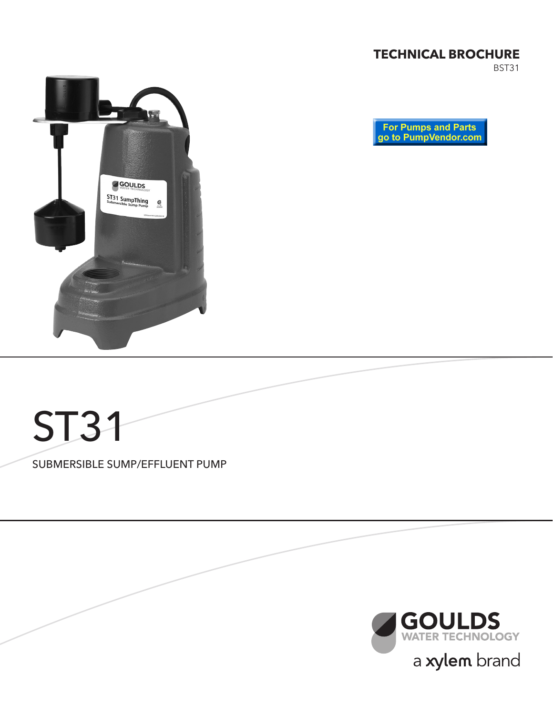## **TECHNICAL BROCHURE**

BST31





# ST31 SUBMERSIBLE SUMP/EFFLUENT PUMP

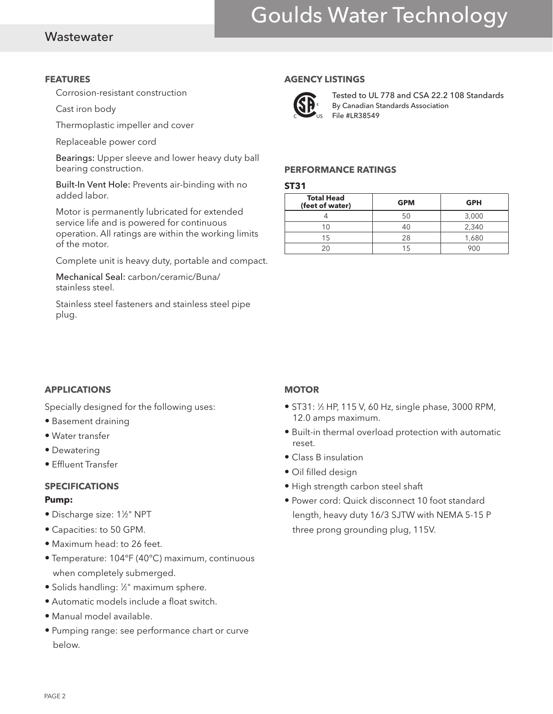## Goulds Water Technology

### **Wastewater**

#### **FEATURES**

Corrosion-resistant construction

Cast iron body

Thermoplastic impeller and cover

Replaceable power cord

Bearings: Upper sleeve and lower heavy duty ball bearing construction.

Built-In Vent Hole: Prevents air-binding with no added labor.

Motor is permanently lubricated for extended service life and is powered for continuous operation. All ratings are within the working limits of the motor.

Complete unit is heavy duty, portable and compact.

Mechanical Seal: carbon/ceramic/Buna/ stainless steel.

Stainless steel fasteners and stainless steel pipe plug.

#### **AGENCY LISTINGS**



Tested to UL 778 and CSA 22.2 108 Standards By Canadian Standards Association File #LR38549

#### **PERFORMANCE RATINGS**

#### **ST31**

| <b>Total Head</b><br>(feet of water) | <b>GPM</b> | <b>GPH</b> |
|--------------------------------------|------------|------------|
|                                      | 50         | 3,000      |
|                                      | 40         | 2,340      |
| 15                                   | 28         | 1,680      |
| ?በ                                   | 15         | 900        |

#### **APPLICATIONS**

Specially designed for the following uses:

- Basement draining
- Water transfer
- Dewatering
- Effluent Transfer

#### **SPECIFICATIONS**

#### **Pump:**

- Discharge size: 1½" NPT
- Capacities: to 50 GPM.
- Maximum head: to 26 feet.
- Temperature: 104°F (40°C) maximum, continuous when completely submerged.
- Solids handling: ½" maximum sphere.
- Automatic models include a float switch.
- Manual model available.
- Pumping range: see performance chart or curve below.

#### **MOTOR**

- ST31: 1 ⁄3 HP, 115 V, 60 Hz, single phase, 3000 RPM, 12.0 amps maximum.
- Built-in thermal overload protection with automatic reset.
- Class B insulation
- Oil filled design
- High strength carbon steel shaft
- Power cord: Quick disconnect 10 foot standard length, heavy duty 16/3 SJTW with NEMA 5-15 P three prong grounding plug, 115V.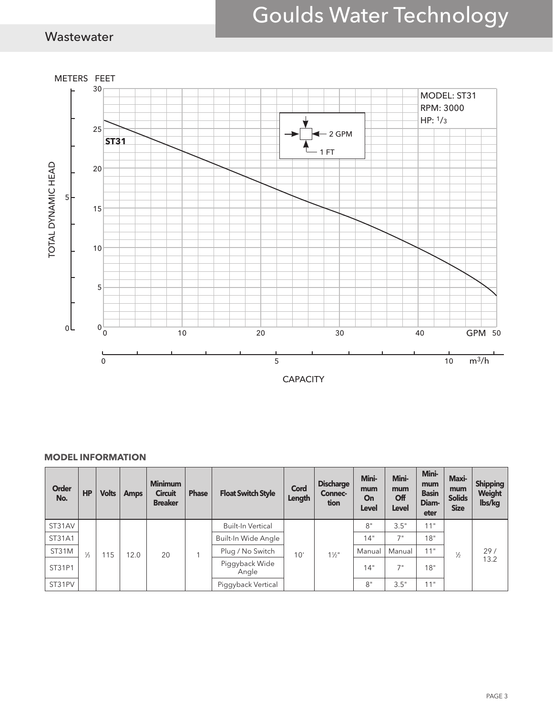## Goulds Water Technology

## **Wastewater**



#### **MODEL INFORMATION**

| <b>Order</b><br>No. | <b>HP</b>     | <b>Volts</b> | <b>Amps</b> | <b>Minimum</b><br><b>Circuit</b><br><b>Breaker</b> | <b>Phase</b> | <b>Float Switch Style</b> | Cord<br><b>Length</b> | <b>Discharge</b><br><b>Connec-</b><br>tion | Mini-<br>mum<br>On<br>Level | Mini-<br>mum<br>Off<br>Level | Mini-<br>mum<br><b>Basin</b><br>Diam-<br>eter | Maxi-<br>mum<br><b>Solids</b><br><b>Size</b> | <b>Shipping</b><br><b>Weight</b><br>lbs/kg |
|---------------------|---------------|--------------|-------------|----------------------------------------------------|--------------|---------------------------|-----------------------|--------------------------------------------|-----------------------------|------------------------------|-----------------------------------------------|----------------------------------------------|--------------------------------------------|
| ST31AV              | $\frac{1}{3}$ |              | 12.0        | 20                                                 |              | <b>Built-In Vertical</b>  | 10'                   | $1\frac{1}{2}$                             | 8"                          | 3.5"                         | 11"                                           | $\frac{1}{2}$                                | 29/<br>13.2                                |
| ST31A1              |               |              |             |                                                    |              | Built-In Wide Angle       |                       |                                            | 14"                         | 7"                           | 18"                                           |                                              |                                            |
| ST31M               |               | 115          |             |                                                    |              | Plug / No Switch          |                       |                                            | Manual                      | Manual                       | 11"                                           |                                              |                                            |
| ST31P1              |               |              |             |                                                    |              | Piggyback Wide<br>Angle   |                       |                                            | 14"                         | 7"                           | 18"                                           |                                              |                                            |
| ST31PV              |               |              |             |                                                    |              | Piggyback Vertical        |                       |                                            | 8"                          | 3.5"                         | 11"                                           |                                              |                                            |